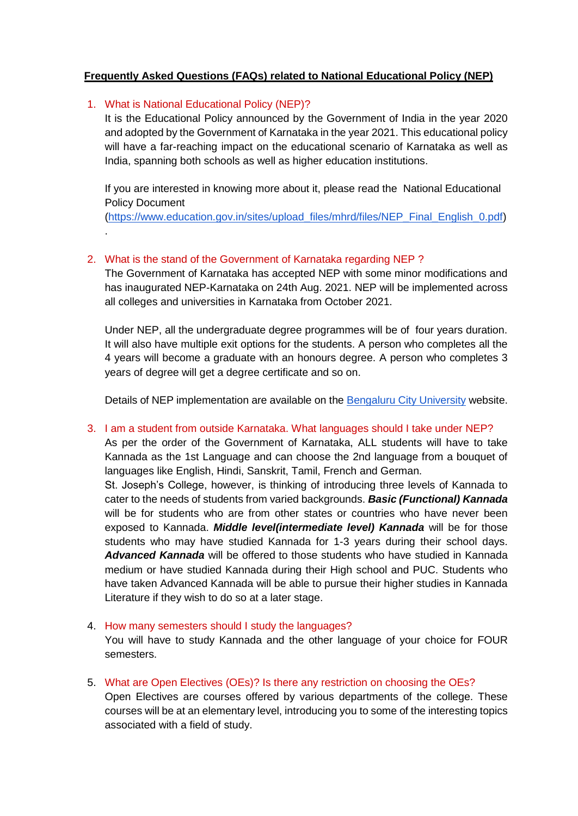### **Frequently Asked Questions (FAQs) related to National Educational Policy (NEP)**

### 1. What is National Educational Policy (NEP)?

.

It is the Educational Policy announced by the Government of India in the year 2020 and adopted by the Government of Karnataka in the year 2021. This educational policy will have a far-reaching impact on the educational scenario of Karnataka as well as India, spanning both schools as well as higher education institutions.

If you are interested in knowing more about it, please read the National Educational Policy Document

[\(https://www.education.gov.in/sites/upload\\_files/mhrd/files/NEP\\_Final\\_English\\_0.pdf\)](https://www.education.gov.in/sites/upload_files/mhrd/files/NEP_Final_English_0.pdf)

# 2. What is the stand of the Government of Karnataka regarding NEP ?

The Government of Karnataka has accepted NEP with some minor modifications and has inaugurated NEP-Karnataka on 24th Aug. 2021. NEP will be implemented across all colleges and universities in Karnataka from October 2021.

Under NEP, all the undergraduate degree programmes will be of four years duration. It will also have multiple exit options for the students. A person who completes all the 4 years will become a graduate with an honours degree. A person who completes 3 years of degree will get a degree certificate and so on.

Details of NEP implementation are available on the [Bengaluru City University](https://bcu.ac.in/nep/) website.

### 3. I am a student from outside Karnataka. What languages should I take under NEP?

As per the order of the Government of Karnataka, ALL students will have to take Kannada as the 1st Language and can choose the 2nd language from a bouquet of languages like English, Hindi, Sanskrit, Tamil, French and German.

St. Joseph's College, however, is thinking of introducing three levels of Kannada to cater to the needs of students from varied backgrounds. *Basic (Functional) Kannada* will be for students who are from other states or countries who have never been exposed to Kannada. *Middle level(intermediate level) Kannada* will be for those students who may have studied Kannada for 1-3 years during their school days. *Advanced Kannada* will be offered to those students who have studied in Kannada medium or have studied Kannada during their High school and PUC. Students who have taken Advanced Kannada will be able to pursue their higher studies in Kannada Literature if they wish to do so at a later stage.

# 4. How many semesters should I study the languages? You will have to study Kannada and the other language of your choice for FOUR semesters.

5. What are Open Electives (OEs)? Is there any restriction on choosing the OEs?

Open Electives are courses offered by various departments of the college. These courses will be at an elementary level, introducing you to some of the interesting topics associated with a field of study.